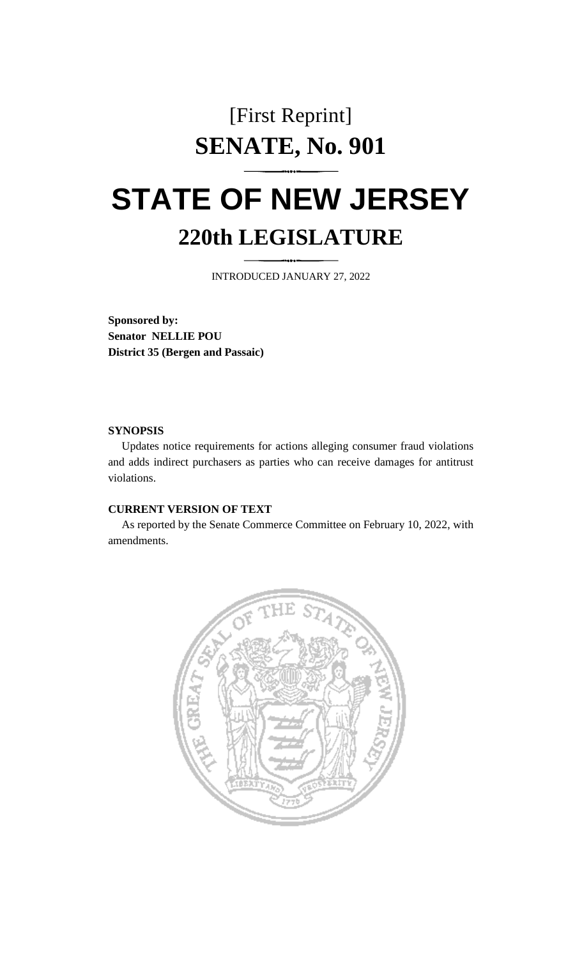# [First Reprint] **SENATE, No. 901**

# **STATE OF NEW JERSEY 220th LEGISLATURE**

INTRODUCED JANUARY 27, 2022

**Sponsored by: Senator NELLIE POU District 35 (Bergen and Passaic)**

## **SYNOPSIS**

Updates notice requirements for actions alleging consumer fraud violations and adds indirect purchasers as parties who can receive damages for antitrust violations.

# **CURRENT VERSION OF TEXT**

As reported by the Senate Commerce Committee on February 10, 2022, with amendments.

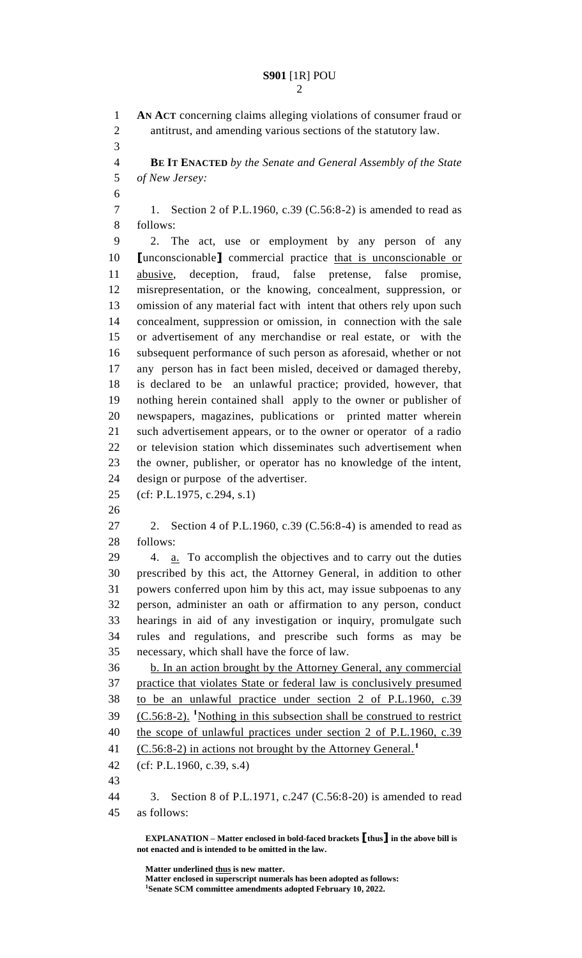### **S901** [1R] POU

 **AN ACT** concerning claims alleging violations of consumer fraud or antitrust, and amending various sections of the statutory law. **BE IT ENACTED** *by the Senate and General Assembly of the State of New Jersey:* 1. Section 2 of P.L.1960, c.39 (C.56:8-2) is amended to read as follows: 2. The act, use or employment by any person of any **[**unconscionable**]** commercial practice that is unconscionable or abusive, deception, fraud, false pretense, false promise, misrepresentation, or the knowing, concealment, suppression, or omission of any material fact with intent that others rely upon such concealment, suppression or omission, in connection with the sale or advertisement of any merchandise or real estate, or with the subsequent performance of such person as aforesaid, whether or not any person has in fact been misled, deceived or damaged thereby, is declared to be an unlawful practice; provided, however, that nothing herein contained shall apply to the owner or publisher of newspapers, magazines, publications or printed matter wherein such advertisement appears, or to the owner or operator of a radio or television station which disseminates such advertisement when the owner, publisher, or operator has no knowledge of the intent, design or purpose of the advertiser. (cf: P.L.1975, c.294, s.1) 2. Section 4 of P.L.1960, c.39 (C.56:8-4) is amended to read as follows: 4. a. To accomplish the objectives and to carry out the duties prescribed by this act, the Attorney General, in addition to other powers conferred upon him by this act, may issue subpoenas to any person, administer an oath or affirmation to any person, conduct hearings in aid of any investigation or inquiry, promulgate such rules and regulations, and prescribe such forms as may be necessary, which shall have the force of law. b. In an action brought by the Attorney General, any commercial practice that violates State or federal law is conclusively presumed to be an unlawful practice under section 2 of P.L.1960, c.39 39 (C.56:8-2). <sup>1</sup>Nothing in this subsection shall be construed to restrict 40 the scope of unlawful practices under section 2 of P.L.1960, c.39 (C.56:8-2) in actions not brought by the Attorney General.**<sup>1</sup>** (cf: P.L.1960, c.39, s.4) 3. Section 8 of P.L.1971, c.247 (C.56:8-20) is amended to read as follows:

**EXPLANATION – Matter enclosed in bold-faced brackets [thus] in the above bill is not enacted and is intended to be omitted in the law.**

**Matter underlined thus is new matter. Matter enclosed in superscript numerals has been adopted as follows: Senate SCM committee amendments adopted February 10, 2022.**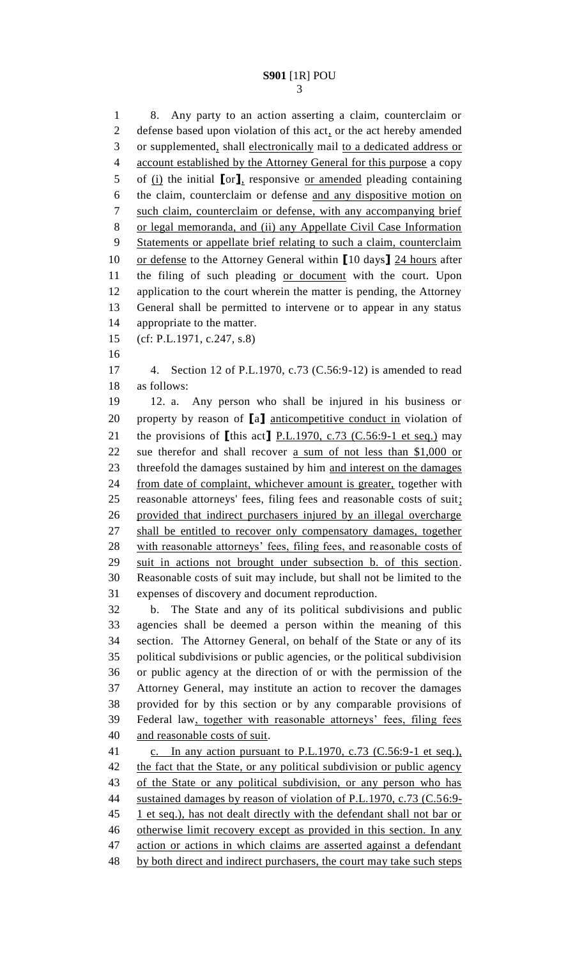8. Any party to an action asserting a claim, counterclaim or defense based upon violation of this act, or the act hereby amended or supplemented, shall electronically mail to a dedicated address or account established by the Attorney General for this purpose a copy of (i) the initial **[**or**]**, responsive or amended pleading containing the claim, counterclaim or defense and any dispositive motion on such claim, counterclaim or defense, with any accompanying brief or legal memoranda, and (ii) any Appellate Civil Case Information Statements or appellate brief relating to such a claim, counterclaim or defense to the Attorney General within **[**10 days**]** 24 hours after the filing of such pleading or document with the court. Upon application to the court wherein the matter is pending, the Attorney General shall be permitted to intervene or to appear in any status appropriate to the matter. (cf: P.L.1971, c.247, s.8) 4. Section 12 of P.L.1970, c.73 (C.56:9-12) is amended to read as follows: 12. a. Any person who shall be injured in his business or property by reason of **[**a**]** anticompetitive conduct in violation of the provisions of **[**this act**]** P.L.1970, c.73 (C.56:9-1 et seq.) may sue therefor and shall recover a sum of not less than \$1,000 or 23 threefold the damages sustained by him and interest on the damages from date of complaint, whichever amount is greater, together with reasonable attorneys' fees, filing fees and reasonable costs of suit; provided that indirect purchasers injured by an illegal overcharge shall be entitled to recover only compensatory damages, together with reasonable attorneys' fees, filing fees, and reasonable costs of suit in actions not brought under subsection b. of this section. Reasonable costs of suit may include, but shall not be limited to the expenses of discovery and document reproduction. b. The State and any of its political subdivisions and public agencies shall be deemed a person within the meaning of this section. The Attorney General, on behalf of the State or any of its political subdivisions or public agencies, or the political subdivision or public agency at the direction of or with the permission of the Attorney General, may institute an action to recover the damages provided for by this section or by any comparable provisions of Federal law, together with reasonable attorneys' fees, filing fees and reasonable costs of suit. 41 c. In any action pursuant to P.L.1970, c.73 (C.56:9-1 et seq.), 42 the fact that the State, or any political subdivision or public agency of the State or any political subdivision, or any person who has sustained damages by reason of violation of P.L.1970, c.73 (C.56:9- 45 1 et seq.), has not dealt directly with the defendant shall not bar or otherwise limit recovery except as provided in this section. In any 47 action or actions in which claims are asserted against a defendant 48 by both direct and indirect purchasers, the court may take such steps